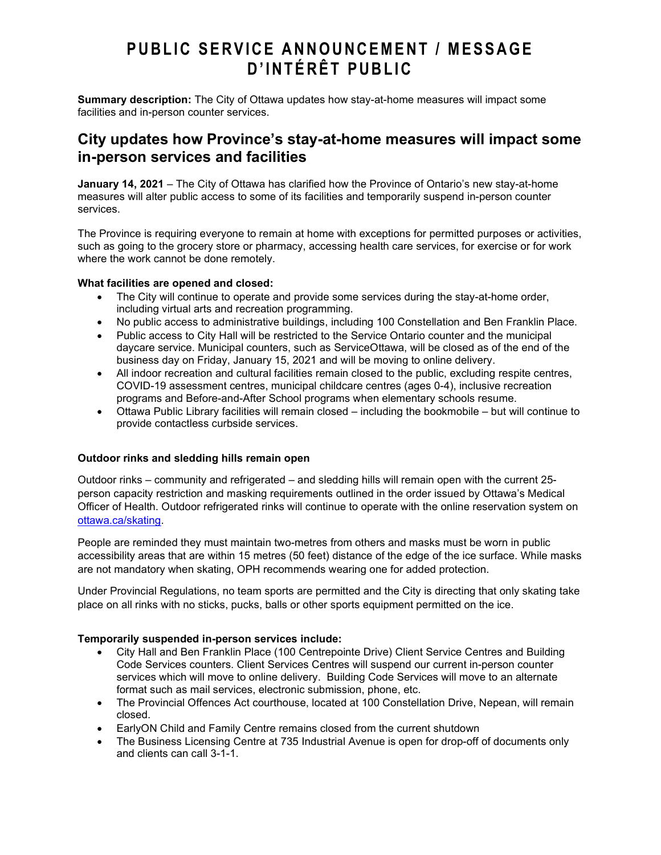# PUBLIC SERVICE ANNOUNCEMENT / MESSAGE D'INTÉRÊT PUBLIC

Summary description: The City of Ottawa updates how stay-at-home measures will impact some facilities and in-person counter services.

# City updates how Province's stay-at-home measures will impact some in-person services and facilities

January 14, 2021 – The City of Ottawa has clarified how the Province of Ontario's new stay-at-home measures will alter public access to some of its facilities and temporarily suspend in-person counter services.

The Province is requiring everyone to remain at home with exceptions for permitted purposes or activities, such as going to the grocery store or pharmacy, accessing health care services, for exercise or for work where the work cannot be done remotely.

# What facilities are opened and closed:

- The City will continue to operate and provide some services during the stay-at-home order, including virtual arts and recreation programming.
- No public access to administrative buildings, including 100 Constellation and Ben Franklin Place.
- Public access to City Hall will be restricted to the Service Ontario counter and the municipal daycare service. Municipal counters, such as ServiceOttawa, will be closed as of the end of the business day on Friday, January 15, 2021 and will be moving to online delivery.
- All indoor recreation and cultural facilities remain closed to the public, excluding respite centres, COVID-19 assessment centres, municipal childcare centres (ages 0-4), inclusive recreation programs and Before-and-After School programs when elementary schools resume.
- Ottawa Public Library facilities will remain closed including the bookmobile but will continue to provide contactless curbside services.

# Outdoor rinks and sledding hills remain open

Outdoor rinks – community and refrigerated – and sledding hills will remain open with the current 25 person capacity restriction and masking requirements outlined in the order issued by Ottawa's Medical Officer of Health. Outdoor refrigerated rinks will continue to operate with the online reservation system on ottawa.ca/skating.

People are reminded they must maintain two-metres from others and masks must be worn in public accessibility areas that are within 15 metres (50 feet) distance of the edge of the ice surface. While masks are not mandatory when skating, OPH recommends wearing one for added protection.

Under Provincial Regulations, no team sports are permitted and the City is directing that only skating take place on all rinks with no sticks, pucks, balls or other sports equipment permitted on the ice.

#### Temporarily suspended in-person services include:

- City Hall and Ben Franklin Place (100 Centrepointe Drive) Client Service Centres and Building Code Services counters. Client Services Centres will suspend our current in-person counter services which will move to online delivery. Building Code Services will move to an alternate format such as mail services, electronic submission, phone, etc.
- The Provincial Offences Act courthouse, located at 100 Constellation Drive, Nepean, will remain closed.
- EarlyON Child and Family Centre remains closed from the current shutdown
- The Business Licensing Centre at 735 Industrial Avenue is open for drop-off of documents only and clients can call 3-1-1.